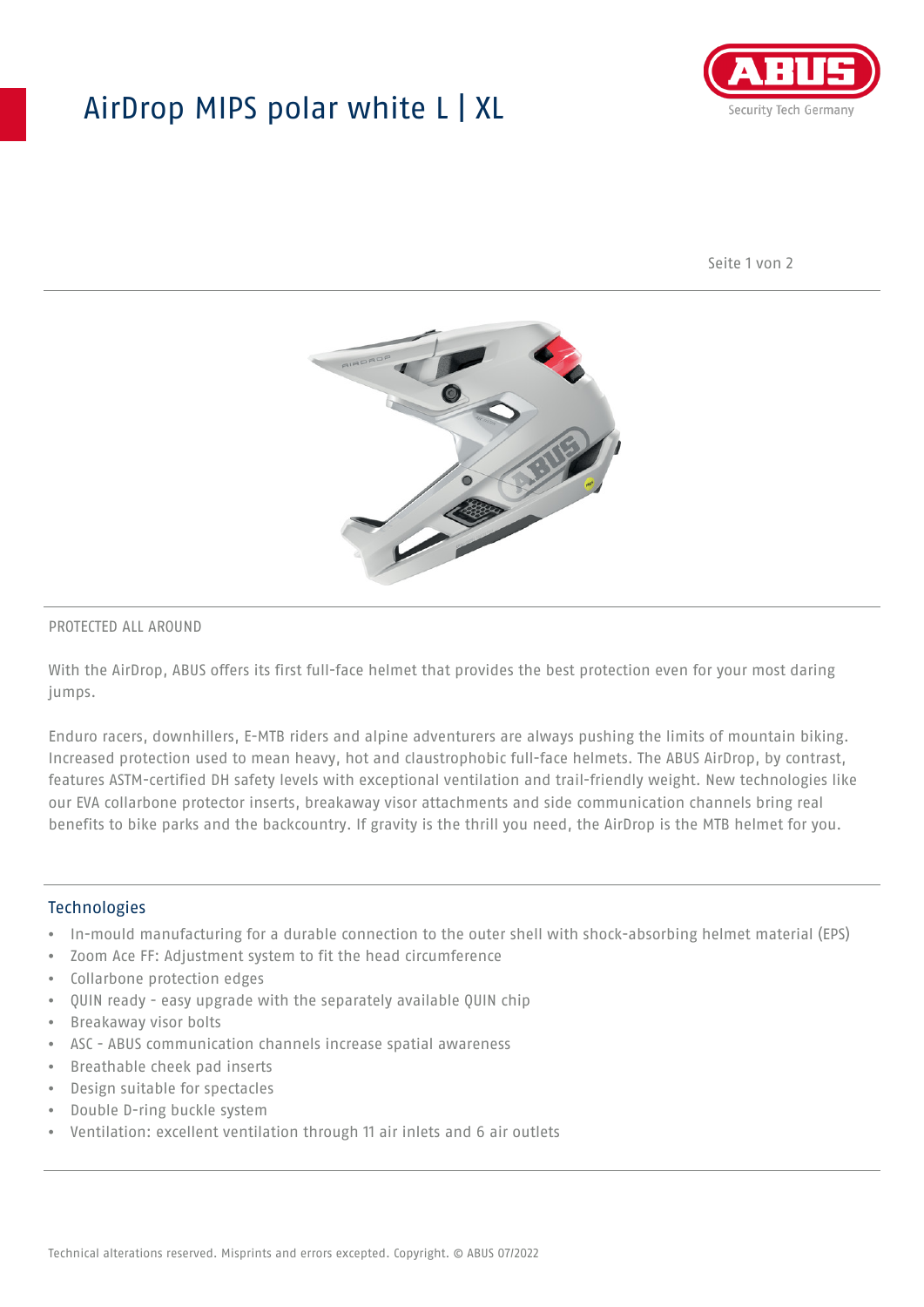## AirDrop MIPS polar white L | XL



Seite 1 von 2



### PROTECTED ALL AROUND

With the AirDrop, ABUS offers its first full-face helmet that provides the best protection even for your most daring jumps.

Enduro racers, downhillers, E-MTB riders and alpine adventurers are always pushing the limits of mountain biking. Increased protection used to mean heavy, hot and claustrophobic full-face helmets. The ABUS AirDrop, by contrast, features ASTM-certified DH safety levels with exceptional ventilation and trail-friendly weight. New technologies like our EVA collarbone protector inserts, breakaway visor attachments and side communication channels bring real benefits to bike parks and the backcountry. If gravity is the thrill you need, the AirDrop is the MTB helmet for you.

#### **Technologies**

- In-mould manufacturing for a durable connection to the outer shell with shock-absorbing helmet material (EPS)
- Zoom Ace FF: Adjustment system to fit the head circumference
- Collarbone protection edges
- QUIN ready easy upgrade with the separately available QUIN chip
- Breakaway visor bolts
- ASC ABUS communication channels increase spatial awareness
- Breathable cheek pad inserts
- Design suitable for spectacles
- Double D-ring buckle system
- Ventilation: excellent ventilation through 11 air inlets and 6 air outlets